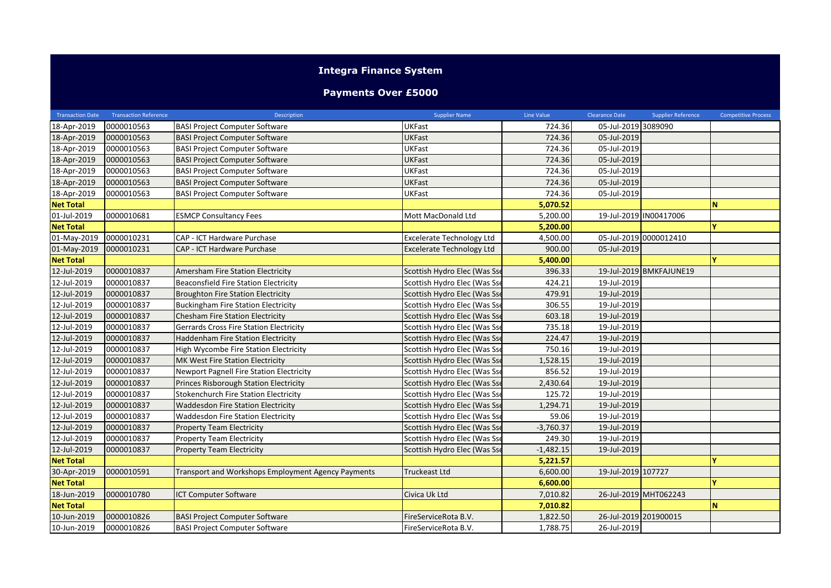## **Integra Finance System**

## **Payments Over £5000**

| <b>Transaction Date</b> | <b>Transaction Reference</b> | <b>Description</b>                                 | <b>Supplier Name</b>             | Line Value  | <b>Clearance Date</b> | Supplier Reference      | <b>Competitive Process</b> |
|-------------------------|------------------------------|----------------------------------------------------|----------------------------------|-------------|-----------------------|-------------------------|----------------------------|
| 18-Apr-2019             | 0000010563                   | <b>BASI Project Computer Software</b>              | <b>UKFast</b>                    | 724.36      | 05-Jul-2019 3089090   |                         |                            |
| 18-Apr-2019             | 0000010563                   | <b>BASI Project Computer Software</b>              | <b>UKFast</b>                    | 724.36      | 05-Jul-2019           |                         |                            |
| 18-Apr-2019             | 0000010563                   | <b>BASI Project Computer Software</b>              | <b>UKFast</b>                    | 724.36      | 05-Jul-2019           |                         |                            |
| 18-Apr-2019             | 0000010563                   | <b>BASI Project Computer Software</b>              | <b>UKFast</b>                    | 724.36      | 05-Jul-2019           |                         |                            |
| 18-Apr-2019             | 0000010563                   | <b>BASI Project Computer Software</b>              | <b>UKFast</b>                    | 724.36      | 05-Jul-2019           |                         |                            |
| 18-Apr-2019             | 0000010563                   | <b>BASI Project Computer Software</b>              | <b>UKFast</b>                    | 724.36      | 05-Jul-2019           |                         |                            |
| 18-Apr-2019             | 0000010563                   | <b>BASI Project Computer Software</b>              | <b>UKFast</b>                    | 724.36      | 05-Jul-2019           |                         |                            |
| <b>Net Total</b>        |                              |                                                    |                                  | 5,070.52    |                       |                         | <b>N</b>                   |
| 01-Jul-2019             | 0000010681                   | <b>ESMCP Consultancy Fees</b>                      | Mott MacDonald Ltd               | 5,200.00    |                       | 19-Jul-2019 IN00417006  |                            |
| <b>Net Total</b>        |                              |                                                    |                                  | 5,200.00    |                       |                         | v                          |
| 01-May-2019             | 0000010231                   | CAP - ICT Hardware Purchase                        | <b>Excelerate Technology Ltd</b> | 4,500.00    |                       | 05-Jul-2019 0000012410  |                            |
| 01-May-2019             | 0000010231                   | CAP - ICT Hardware Purchase                        | <b>Excelerate Technology Ltd</b> | 900.00      | 05-Jul-2019           |                         |                            |
| <b>Net Total</b>        |                              |                                                    |                                  | 5,400.00    |                       |                         |                            |
| 12-Jul-2019             | 0000010837                   | Amersham Fire Station Electricity                  | Scottish Hydro Elec (Was Sse     | 396.33      |                       | 19-Jul-2019 BMKFAJUNE19 |                            |
| 12-Jul-2019             | 0000010837                   | <b>Beaconsfield Fire Station Electricity</b>       | Scottish Hydro Elec (Was Sse     | 424.21      | 19-Jul-2019           |                         |                            |
| 12-Jul-2019             | 0000010837                   | <b>Broughton Fire Station Electricity</b>          | Scottish Hydro Elec (Was Sse     | 479.91      | 19-Jul-2019           |                         |                            |
| 12-Jul-2019             | 0000010837                   | <b>Buckingham Fire Station Electricity</b>         | Scottish Hydro Elec (Was Sse     | 306.55      | 19-Jul-2019           |                         |                            |
| 12-Jul-2019             | 0000010837                   | Chesham Fire Station Electricity                   | Scottish Hydro Elec (Was Sse     | 603.18      | 19-Jul-2019           |                         |                            |
| 12-Jul-2019             | 0000010837                   | <b>Gerrards Cross Fire Station Electricity</b>     | Scottish Hydro Elec (Was Sse     | 735.18      | 19-Jul-2019           |                         |                            |
| 12-Jul-2019             | 0000010837                   | Haddenham Fire Station Electricity                 | Scottish Hydro Elec (Was Sse     | 224.47      | 19-Jul-2019           |                         |                            |
| 12-Jul-2019             | 0000010837                   | High Wycombe Fire Station Electricity              | Scottish Hydro Elec (Was Sse     | 750.16      | 19-Jul-2019           |                         |                            |
| 12-Jul-2019             | 0000010837                   | MK West Fire Station Electricity                   | Scottish Hydro Elec (Was Sse     | 1,528.15    | 19-Jul-2019           |                         |                            |
| 12-Jul-2019             | 0000010837                   | <b>Newport Pagnell Fire Station Electricity</b>    | Scottish Hydro Elec (Was Sse     | 856.52      | 19-Jul-2019           |                         |                            |
| 12-Jul-2019             | 0000010837                   | <b>Princes Risborough Station Electricity</b>      | Scottish Hydro Elec (Was Sse     | 2,430.64    | 19-Jul-2019           |                         |                            |
| 12-Jul-2019             | 0000010837                   | Stokenchurch Fire Station Electricity              | Scottish Hydro Elec (Was Sse     | 125.72      | 19-Jul-2019           |                         |                            |
| 12-Jul-2019             | 0000010837                   | <b>Waddesdon Fire Station Electricity</b>          | Scottish Hydro Elec (Was Sse     | 1,294.71    | 19-Jul-2019           |                         |                            |
| 12-Jul-2019             | 0000010837                   | <b>Waddesdon Fire Station Electricity</b>          | Scottish Hydro Elec (Was Sse     | 59.06       | 19-Jul-2019           |                         |                            |
| 12-Jul-2019             | 0000010837                   | <b>Property Team Electricity</b>                   | Scottish Hydro Elec (Was Sse     | $-3,760.37$ | 19-Jul-2019           |                         |                            |
| 12-Jul-2019             | 0000010837                   | <b>Property Team Electricity</b>                   | Scottish Hydro Elec (Was Sse     | 249.30      | 19-Jul-2019           |                         |                            |
| 12-Jul-2019             | 0000010837                   | <b>Property Team Electricity</b>                   | Scottish Hydro Elec (Was Sse     | $-1,482.15$ | 19-Jul-2019           |                         |                            |
| <b>Net Total</b>        |                              |                                                    |                                  | 5,221.57    |                       |                         |                            |
| 30-Apr-2019             | 0000010591                   | Transport and Workshops Employment Agency Payments | <b>Truckeast Ltd</b>             | 6,600.00    | 19-Jul-2019 107727    |                         |                            |
| <b>Net Total</b>        |                              |                                                    |                                  | 6,600.00    |                       |                         |                            |
| 18-Jun-2019             | 0000010780                   | ICT Computer Software                              | Civica Uk Ltd                    | 7,010.82    |                       | 26-Jul-2019 MHT062243   |                            |
| <b>Net Total</b>        |                              |                                                    |                                  | 7,010.82    |                       |                         | <b>N</b>                   |
| 10-Jun-2019             | 0000010826                   | <b>BASI Project Computer Software</b>              | FireServiceRota B.V.             | 1,822.50    | 26-Jul-2019 201900015 |                         |                            |
| 10-Jun-2019             | 0000010826                   | <b>BASI Project Computer Software</b>              | FireServiceRota B.V.             | 1,788.75    | 26-Jul-2019           |                         |                            |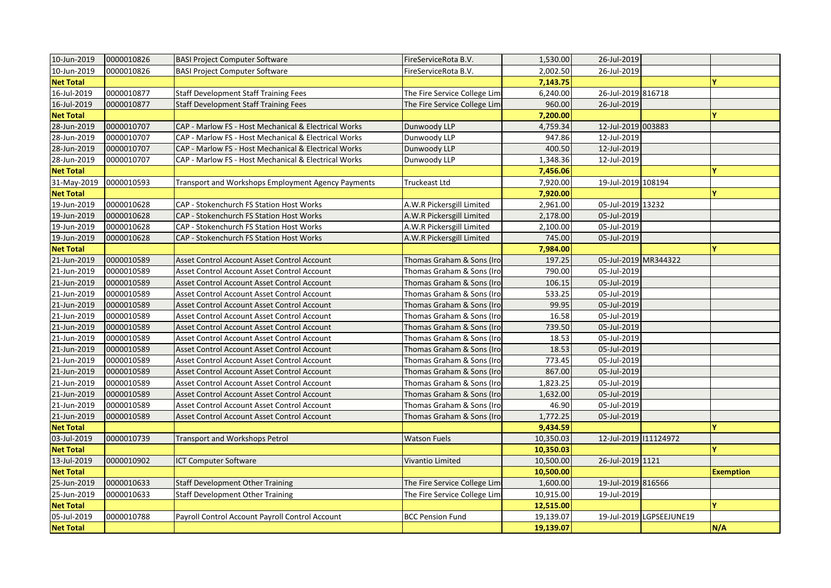| 10-Jun-2019      | 0000010826 | <b>BASI Project Computer Software</b>                | FireServiceRota B.V.         | 1,530.00  | 26-Jul-2019           |                          |                  |
|------------------|------------|------------------------------------------------------|------------------------------|-----------|-----------------------|--------------------------|------------------|
| 10-Jun-2019      | 0000010826 | <b>BASI Project Computer Software</b>                | FireServiceRota B.V.         | 2,002.50  | 26-Jul-2019           |                          |                  |
| <b>Net Total</b> |            |                                                      |                              | 7,143.75  |                       |                          | Ÿ                |
| 16-Jul-2019      | 0000010877 | <b>Staff Development Staff Training Fees</b>         | The Fire Service College Lim | 6,240.00  | 26-Jul-2019 816718    |                          |                  |
| 16-Jul-2019      | 0000010877 | <b>Staff Development Staff Training Fees</b>         | The Fire Service College Lim | 960.00    | 26-Jul-2019           |                          |                  |
| <b>Net Total</b> |            |                                                      |                              | 7,200.00  |                       |                          |                  |
| 28-Jun-2019      | 0000010707 | CAP - Marlow FS - Host Mechanical & Electrical Works | Dunwoody LLP                 | 4,759.34  | 12-Jul-2019 003883    |                          |                  |
| 28-Jun-2019      | 0000010707 | CAP - Marlow FS - Host Mechanical & Electrical Works | Dunwoody LLP                 | 947.86    | 12-Jul-2019           |                          |                  |
| 28-Jun-2019      | 0000010707 | CAP - Marlow FS - Host Mechanical & Electrical Works | Dunwoody LLP                 | 400.50    | 12-Jul-2019           |                          |                  |
| 28-Jun-2019      | 0000010707 | CAP - Marlow FS - Host Mechanical & Electrical Works | Dunwoody LLP                 | 1,348.36  | 12-Jul-2019           |                          |                  |
| <b>Net Total</b> |            |                                                      |                              | 7,456.06  |                       |                          |                  |
| 31-May-2019      | 0000010593 | Transport and Workshops Employment Agency Payments   | Truckeast Ltd                | 7,920.00  | 19-Jul-2019 108194    |                          |                  |
| <b>Net Total</b> |            |                                                      |                              | 7,920.00  |                       |                          |                  |
| 19-Jun-2019      | 0000010628 | CAP - Stokenchurch FS Station Host Works             | A.W.R Pickersgill Limited    | 2,961.00  | 05-Jul-2019 13232     |                          |                  |
| 19-Jun-2019      | 0000010628 | CAP - Stokenchurch FS Station Host Works             | A.W.R Pickersgill Limited    | 2,178.00  | 05-Jul-2019           |                          |                  |
| 19-Jun-2019      | 0000010628 | CAP - Stokenchurch FS Station Host Works             | A.W.R Pickersgill Limited    | 2,100.00  | 05-Jul-2019           |                          |                  |
| 19-Jun-2019      | 0000010628 | CAP - Stokenchurch FS Station Host Works             | A.W.R Pickersgill Limited    | 745.00    | 05-Jul-2019           |                          |                  |
| <b>Net Total</b> |            |                                                      |                              | 7,984.00  |                       |                          |                  |
| 21-Jun-2019      | 0000010589 | Asset Control Account Asset Control Account          | Thomas Graham & Sons (Iro    | 197.25    | 05-Jul-2019 MR344322  |                          |                  |
| 21-Jun-2019      | 0000010589 | Asset Control Account Asset Control Account          | Thomas Graham & Sons (Iro    | 790.00    | 05-Jul-2019           |                          |                  |
| 21-Jun-2019      | 0000010589 | Asset Control Account Asset Control Account          | Thomas Graham & Sons (Iro    | 106.15    | 05-Jul-2019           |                          |                  |
| 21-Jun-2019      | 0000010589 | Asset Control Account Asset Control Account          | Thomas Graham & Sons (Iro    | 533.25    | 05-Jul-2019           |                          |                  |
| 21-Jun-2019      | 0000010589 | Asset Control Account Asset Control Account          | Thomas Graham & Sons (Iro    | 99.95     | 05-Jul-2019           |                          |                  |
| 21-Jun-2019      | 0000010589 | Asset Control Account Asset Control Account          | Thomas Graham & Sons (Iro    | 16.58     | 05-Jul-2019           |                          |                  |
| 21-Jun-2019      | 0000010589 | Asset Control Account Asset Control Account          | Thomas Graham & Sons (Iro    | 739.50    | 05-Jul-2019           |                          |                  |
| 21-Jun-2019      | 0000010589 | Asset Control Account Asset Control Account          | Thomas Graham & Sons (Iro    | 18.53     | 05-Jul-2019           |                          |                  |
| 21-Jun-2019      | 0000010589 | Asset Control Account Asset Control Account          | Thomas Graham & Sons (Iro    | 18.53     | 05-Jul-2019           |                          |                  |
| 21-Jun-2019      | 0000010589 | Asset Control Account Asset Control Account          | Thomas Graham & Sons (Iro    | 773.45    | 05-Jul-2019           |                          |                  |
| 21-Jun-2019      | 0000010589 | Asset Control Account Asset Control Account          | Thomas Graham & Sons (Iro    | 867.00    | 05-Jul-2019           |                          |                  |
| 21-Jun-2019      | 0000010589 | Asset Control Account Asset Control Account          | Thomas Graham & Sons (Iro    | 1,823.25  | 05-Jul-2019           |                          |                  |
| 21-Jun-2019      | 0000010589 | Asset Control Account Asset Control Account          | Thomas Graham & Sons (Iro    | 1,632.00  | 05-Jul-2019           |                          |                  |
| 21-Jun-2019      | 0000010589 | Asset Control Account Asset Control Account          | Thomas Graham & Sons (Iro    | 46.90     | 05-Jul-2019           |                          |                  |
| 21-Jun-2019      | 0000010589 | Asset Control Account Asset Control Account          | Thomas Graham & Sons (Iro    | 1,772.25  | 05-Jul-2019           |                          |                  |
| <b>Net Total</b> |            |                                                      |                              | 9,434.59  |                       |                          |                  |
| 03-Jul-2019      | 0000010739 | Transport and Workshops Petrol                       | <b>Watson Fuels</b>          | 10,350.03 | 12-Jul-2019 111124972 |                          |                  |
| <b>Net Total</b> |            |                                                      |                              | 10,350.03 |                       |                          |                  |
| 13-Jul-2019      | 0000010902 | <b>ICT Computer Software</b>                         | Vivantio Limited             | 10,500.00 | 26-Jul-2019 1121      |                          |                  |
| <b>Net Total</b> |            |                                                      |                              | 10,500.00 |                       |                          | <b>Exemption</b> |
| 25-Jun-2019      | 0000010633 | <b>Staff Development Other Training</b>              | The Fire Service College Lim | 1,600.00  | 19-Jul-2019 816566    |                          |                  |
| 25-Jun-2019      | 0000010633 | <b>Staff Development Other Training</b>              | The Fire Service College Lim | 10,915.00 | 19-Jul-2019           |                          |                  |
| <b>Net Total</b> |            |                                                      |                              | 12,515.00 |                       |                          | Ÿ                |
| 05-Jul-2019      | 0000010788 | Payroll Control Account Payroll Control Account      | <b>BCC Pension Fund</b>      | 19,139.07 |                       | 19-Jul-2019 LGPSEEJUNE19 |                  |
| <b>Net Total</b> |            |                                                      |                              | 19,139.07 |                       |                          | N/A              |